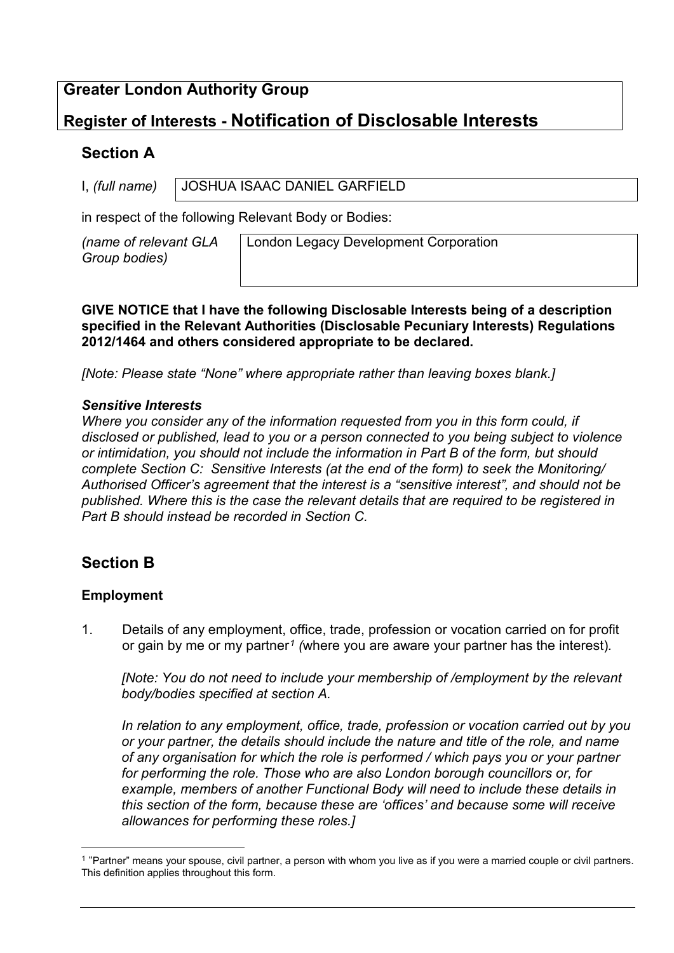## **Greater London Authority Group**

# **Register of Interests - Notification of Disclosable Interests**

## **Section A**

I, *(full name)* JOSHUA ISAAC DANIEL GARFIELD

in respect of the following Relevant Body or Bodies:

*(name of relevant GLA Group bodies)* 

London Legacy Development Corporation

**GIVE NOTICE that I have the following Disclosable Interests being of a description specified in the Relevant Authorities (Disclosable Pecuniary Interests) Regulations 2012/1464 and others considered appropriate to be declared.**

*[Note: Please state "None" where appropriate rather than leaving boxes blank.]*

### *Sensitive Interests*

*Where you consider any of the information requested from you in this form could, if disclosed or published, lead to you or a person connected to you being subject to violence or intimidation, you should not include the information in Part B of the form, but should complete Section C: Sensitive Interests (at the end of the form) to seek the Monitoring/ Authorised Officer's agreement that the interest is a "sensitive interest", and should not be published. Where this is the case the relevant details that are required to be registered in Part B should instead be recorded in Section C.*

## **Section B**

## **Employment**

1. Details of any employment, office, trade, profession or vocation carried on for profit or gain by me or my partner*[1](#page-0-0) (*where you are aware your partner has the interest)*.* 

*[Note: You do not need to include your membership of /employment by the relevant body/bodies specified at section A.*

*In relation to any employment, office, trade, profession or vocation carried out by you or your partner, the details should include the nature and title of the role, and name of any organisation for which the role is performed / which pays you or your partner for performing the role. Those who are also London borough councillors or, for example, members of another Functional Body will need to include these details in this section of the form, because these are 'offices' and because some will receive allowances for performing these roles.]* 

<span id="page-0-0"></span><sup>&</sup>lt;sup>1</sup> "Partner" means your spouse, civil partner, a person with whom you live as if you were a married couple or civil partners. This definition applies throughout this form.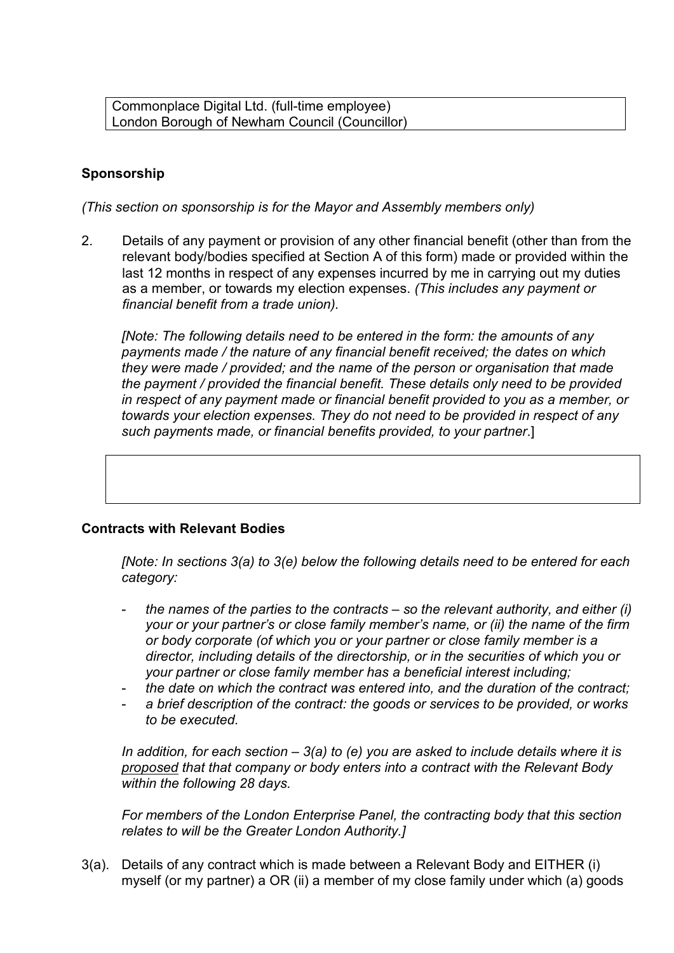Commonplace Digital Ltd. (full-time employee) London Borough of Newham Council (Councillor)

## **Sponsorship**

*(This section on sponsorship is for the Mayor and Assembly members only)*

2. Details of any payment or provision of any other financial benefit (other than from the relevant body/bodies specified at Section A of this form) made or provided within the last 12 months in respect of any expenses incurred by me in carrying out my duties as a member, or towards my election expenses. *(This includes any payment or financial benefit from a trade union).*

*[Note: The following details need to be entered in the form: the amounts of any payments made / the nature of any financial benefit received; the dates on which they were made / provided; and the name of the person or organisation that made the payment / provided the financial benefit. These details only need to be provided in respect of any payment made or financial benefit provided to you as a member, or towards your election expenses. They do not need to be provided in respect of any such payments made, or financial benefits provided, to your partner*.]

#### **Contracts with Relevant Bodies**

*[Note: In sections 3(a) to 3(e) below the following details need to be entered for each category:* 

- *the names of the parties to the contracts – so the relevant authority, and either (i) your or your partner's or close family member's name, or (ii) the name of the firm or body corporate (of which you or your partner or close family member is a director, including details of the directorship, or in the securities of which you or your partner or close family member has a beneficial interest including;*
- *the date on which the contract was entered into, and the duration of the contract;*
- a brief description of the contract: the goods or services to be provided, or works *to be executed.*

*In addition, for each section – 3(a) to (e) you are asked to include details where it is proposed that that company or body enters into a contract with the Relevant Body within the following 28 days.*

*For members of the London Enterprise Panel, the contracting body that this section relates to will be the Greater London Authority.]*

3(a). Details of any contract which is made between a Relevant Body and EITHER (i) myself (or my partner) a OR (ii) a member of my close family under which (a) goods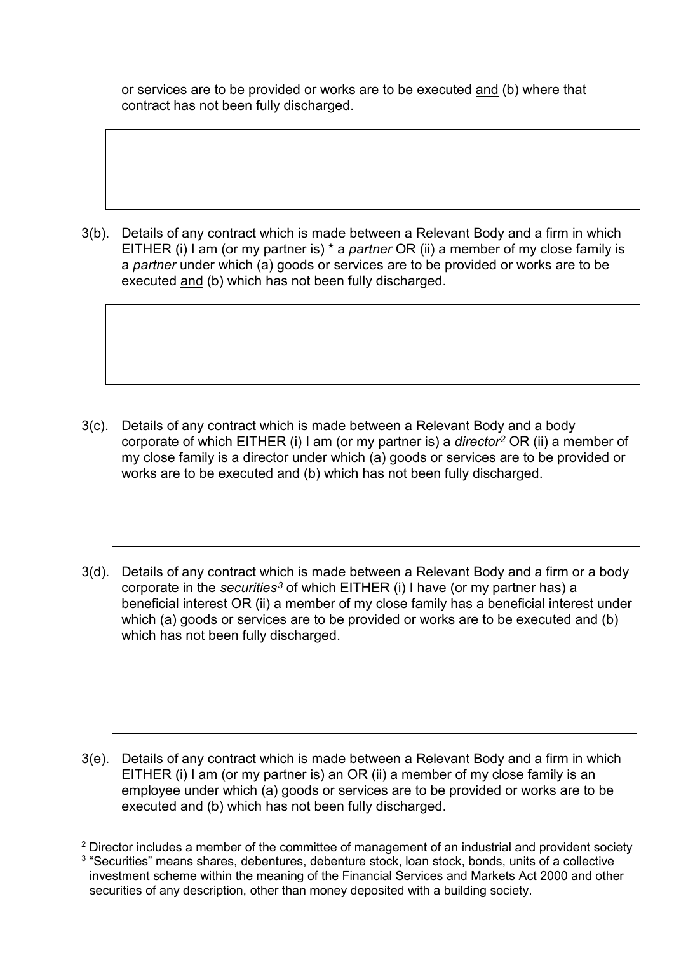or services are to be provided or works are to be executed and (b) where that contract has not been fully discharged.

3(b). Details of any contract which is made between a Relevant Body and a firm in which EITHER (i) I am (or my partner is) \* a *partner* OR (ii) a member of my close family is a *partner* under which (a) goods or services are to be provided or works are to be executed and (b) which has not been fully discharged.

- 3(c). Details of any contract which is made between a Relevant Body and a body corporate of which EITHER (i) I am (or my partner is) a *director[2](#page-2-0)* OR (ii) a member of my close family is a director under which (a) goods or services are to be provided or works are to be executed and (b) which has not been fully discharged.
- 3(d). Details of any contract which is made between a Relevant Body and a firm or a body corporate in the *securities[3](#page-2-1)* of which EITHER (i) I have (or my partner has) a beneficial interest OR (ii) a member of my close family has a beneficial interest under which (a) goods or services are to be provided or works are to be executed and (b) which has not been fully discharged.

3(e). Details of any contract which is made between a Relevant Body and a firm in which EITHER (i) I am (or my partner is) an OR (ii) a member of my close family is an employee under which (a) goods or services are to be provided or works are to be executed and (b) which has not been fully discharged.

<span id="page-2-1"></span><span id="page-2-0"></span><sup>&</sup>lt;sup>2</sup> Director includes a member of the committee of management of an industrial and provident society <sup>3</sup> "Securities" means shares, debentures, debenture stock, loan stock, bonds, units of a collective investment scheme within the meaning of the Financial Services and Markets Act 2000 and other securities of any description, other than money deposited with a building society.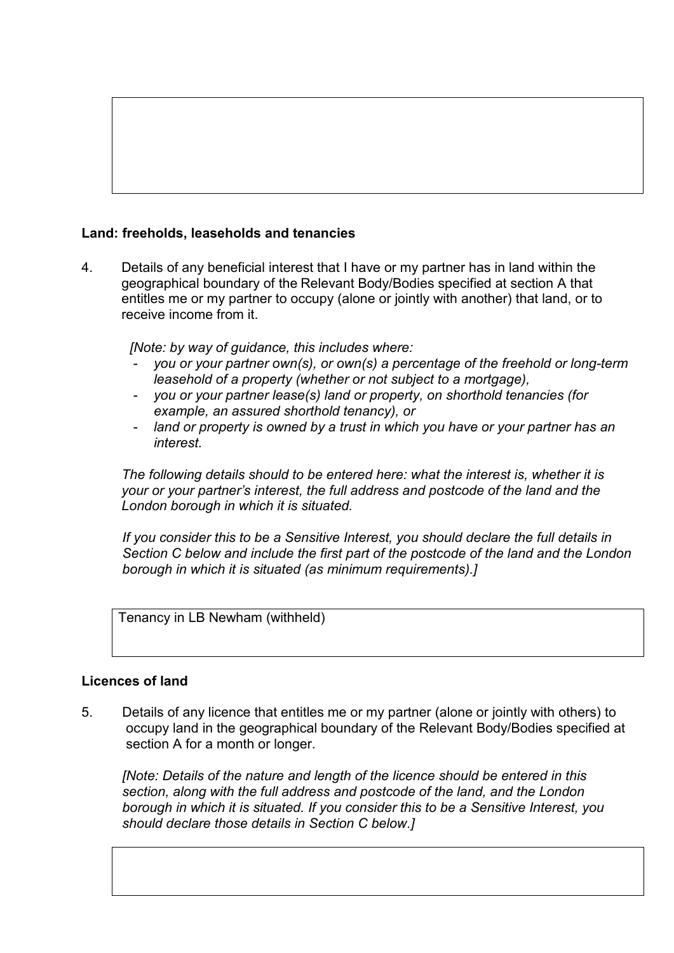## **Land: freeholds, leaseholds and tenancies**

4. Details of any beneficial interest that I have or my partner has in land within the geographical boundary of the Relevant Body/Bodies specified at section A that entitles me or my partner to occupy (alone or jointly with another) that land, or to receive income from it.

*[Note: by way of guidance, this includes where:*

- *you or your partner own(s), or own(s) a percentage of the freehold or long-term leasehold of a property (whether or not subject to a mortgage),*
- *you or your partner lease(s) land or property, on shorthold tenancies (for example, an assured shorthold tenancy), or*
- *land or property is owned by a trust in which you have or your partner has an interest.*

*The following details should to be entered here: what the interest is, whether it is your or your partner's interest, the full address and postcode of the land and the London borough in which it is situated.* 

*If you consider this to be a Sensitive Interest, you should declare the full details in Section C below and include the first part of the postcode of the land and the London borough in which it is situated (as minimum requirements).]*

Tenancy in LB Newham (withheld)

#### **Licences of land**

5. Details of any licence that entitles me or my partner (alone or jointly with others) to occupy land in the geographical boundary of the Relevant Body/Bodies specified at section A for a month or longer.

*[Note: Details of the nature and length of the licence should be entered in this section, along with the full address and postcode of the land, and the London borough in which it is situated. If you consider this to be a Sensitive Interest, you should declare those details in Section C below.]*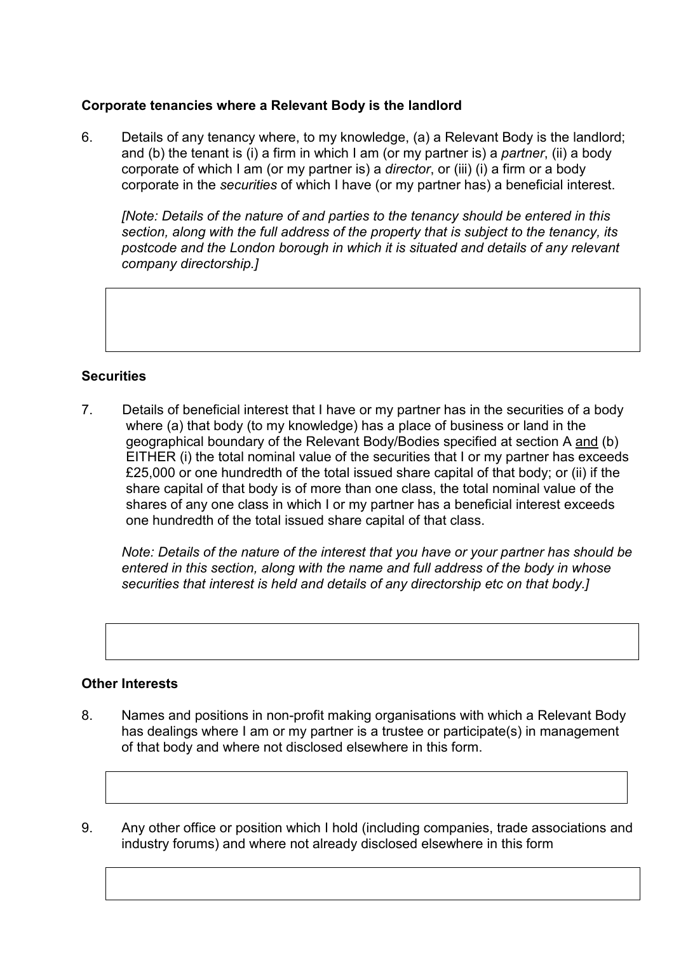#### **Corporate tenancies where a Relevant Body is the landlord**

6. Details of any tenancy where, to my knowledge, (a) a Relevant Body is the landlord; and (b) the tenant is (i) a firm in which I am (or my partner is) a *partner*, (ii) a body corporate of which I am (or my partner is) a *director*, or (iii) (i) a firm or a body corporate in the *securities* of which I have (or my partner has) a beneficial interest.

*[Note: Details of the nature of and parties to the tenancy should be entered in this section, along with the full address of the property that is subject to the tenancy, its postcode and the London borough in which it is situated and details of any relevant company directorship.]* 

### **Securities**

7. Details of beneficial interest that I have or my partner has in the securities of a body where (a) that body (to my knowledge) has a place of business or land in the geographical boundary of the Relevant Body/Bodies specified at section A and (b) EITHER (i) the total nominal value of the securities that I or my partner has exceeds £25,000 or one hundredth of the total issued share capital of that body; or (ii) if the share capital of that body is of more than one class, the total nominal value of the shares of any one class in which I or my partner has a beneficial interest exceeds one hundredth of the total issued share capital of that class.

*Note: Details of the nature of the interest that you have or your partner has should be entered in this section, along with the name and full address of the body in whose securities that interest is held and details of any directorship etc on that body.]* 

#### **Other Interests**

- 8. Names and positions in non-profit making organisations with which a Relevant Body has dealings where I am or my partner is a trustee or participate(s) in management of that body and where not disclosed elsewhere in this form.
- 9. Any other office or position which I hold (including companies, trade associations and industry forums) and where not already disclosed elsewhere in this form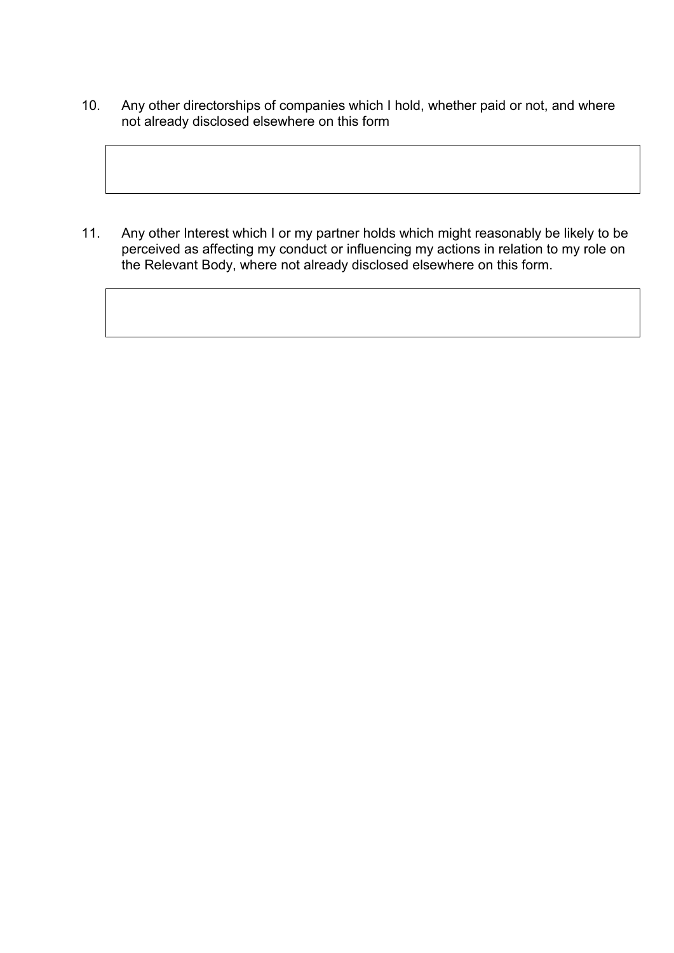10. Any other directorships of companies which I hold, whether paid or not, and where not already disclosed elsewhere on this form

11. Any other Interest which I or my partner holds which might reasonably be likely to be perceived as affecting my conduct or influencing my actions in relation to my role on the Relevant Body, where not already disclosed elsewhere on this form.